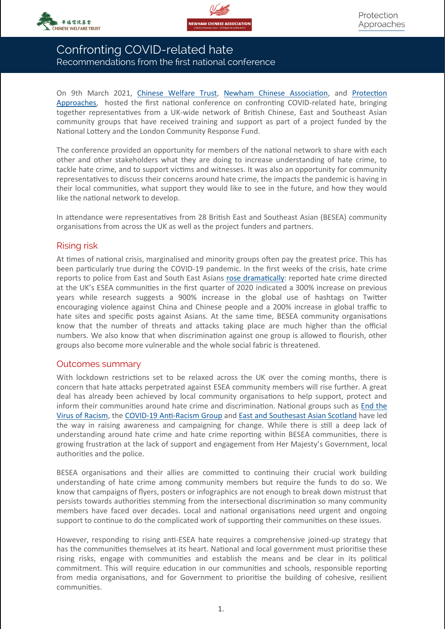



# Confronting COVID-related hate Recommendations from the first national conference

On 9th March 2021, [Chinese Welfare Trust,](https://www.chinesewelfaretrust.org.uk/) [Newham Chinese Association,](https://newhamchineseassociation.wordpress.com/) and [Protection](http://www.protectionapproaches.org)  [Approaches,](http://www.protectionapproaches.org) hosted the first national conference on confronting COVID-related hate, bringing together representatives from a UK-wide network of British Chinese, East and Southeast Asian community groups that have received training and support as part of a project funded by the National Lottery and the London Community Response Fund.

The conference provided an opportunity for members of the national network to share with each other and other stakeholders what they are doing to increase understanding of hate crime, to tackle hate crime, and to support victims and witnesses. It was also an opportunity for community representatives to discuss their concerns around hate crime, the impacts the pandemic is having in their local communities, what support they would like to see in the future, and how they would like the national network to develop.

In attendance were representatives from 28 British East and Southeast Asian (BESEA) community organisations from across the UK as well as the project funders and partners.

## Rising risk

At times of national crisis, marginalised and minority groups often pay the greatest price. This has been particularly true during the COVID-19 pandemic. In the first weeks of the crisis, hate crime reports to police from East and South East Asians [rose dramatically:](https://img1.wsimg.com/blobby/go/131c96cc-7e6f-4c06-ae37-6550dbd85dde/Covid-related%20hate%20briefing%20FINAL.pdf) reported hate crime directed at the UK's ESEA communities in the first quarter of 2020 indicated a 300% increase on previous years while research suggests a 900% increase in the global use of hashtags on Twitter encouraging violence against China and Chinese people and a 200% increase in global traffic to hate sites and specific posts against Asians. At the same time, BESEA community organisations know that the number of threats and attacks taking place are much higher than the official numbers. We also know that when discrimination against one group is allowed to flourish, other groups also become more vulnerable and the whole social fabric is threatened.

### Outcomes summary

With lockdown restrictions set to be relaxed across the UK over the coming months, there is concern that hate attacks perpetrated against ESEA community members will rise further. A great deal has already been achieved by local community organisations to help support, protect and inform their communities around hate crime and discrimination. National groups such as [End the](https://www.endthevirusofracism.com/)  [Virus of Racism,](https://www.endthevirusofracism.com/) the COVID-19 Anti-[Racism Group](https://www.carg.info/) and [East and Southesast Asian Scotland](https://www.esascotland.org/) have led the way in raising awareness and campaigning for change. While there is still a deep lack of understanding around hate crime and hate crime reporting within BESEA communities, there is growing frustration at the lack of support and engagement from Her Majesty's Government, local authorities and the police.

BESEA organisations and their allies are committed to continuing their crucial work building understanding of hate crime among community members but require the funds to do so. We know that campaigns of flyers, posters or infographics are not enough to break down mistrust that persists towards authorities stemming from the intersectional discrimination so many community members have faced over decades. Local and national organisations need urgent and ongoing support to continue to do the complicated work of supporting their communities on these issues.

However, responding to rising anti-ESEA hate requires a comprehensive joined-up strategy that has the communities themselves at its heart. National and local government must prioritise these rising risks, engage with communities and establish the means and be clear in its political commitment. This will require education in our communities and schools, responsible reporting from media organisations, and for Government to prioritise the building of cohesive, resilient communities.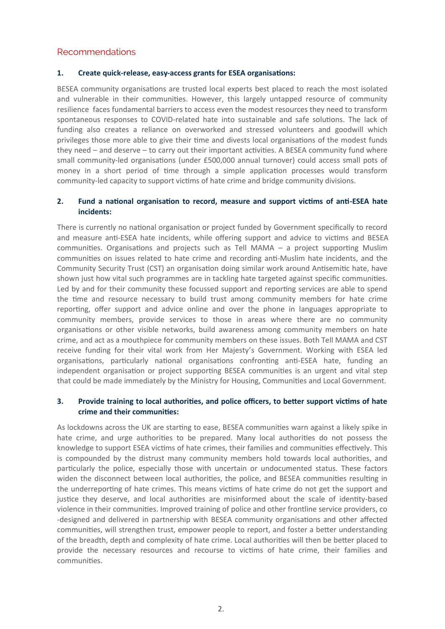## Recommendations

#### **1. Create quick-release, easy-access grants for ESEA organisations:**

BESEA community organisations are trusted local experts best placed to reach the most isolated and vulnerable in their communities. However, this largely untapped resource of community resilience faces fundamental barriers to access even the modest resources they need to transform spontaneous responses to COVID-related hate into sustainable and safe solutions. The lack of funding also creates a reliance on overworked and stressed volunteers and goodwill which privileges those more able to give their time and divests local organisations of the modest funds they need – and deserve – to carry out their important activities. A BESEA community fund where small community-led organisations (under £500,000 annual turnover) could access small pots of money in a short period of time through a simple application processes would transform community-led capacity to support victims of hate crime and bridge community divisions.

### **2. Fund a national organisation to record, measure and support victims of anti-ESEA hate incidents:**

There is currently no national organisation or project funded by Government specifically to record and measure anti-ESEA hate incidents, while offering support and advice to victims and BESEA communities. Organisations and projects such as Tell MAMA – a project supporting Muslim communities on issues related to hate crime and recording anti-Muslim hate incidents, and the Community Security Trust (CST) an organisation doing similar work around Antisemitic hate, have shown just how vital such programmes are in tackling hate targeted against specific communities. Led by and for their community these focussed support and reporting services are able to spend the time and resource necessary to build trust among community members for hate crime reporting, offer support and advice online and over the phone in languages appropriate to community members, provide services to those in areas where there are no community organisations or other visible networks, build awareness among community members on hate crime, and act as a mouthpiece for community members on these issues. Both Tell MAMA and CST receive funding for their vital work from Her Majesty's Government. Working with ESEA led organisations, particularly national organisations confronting anti-ESEA hate, funding an independent organisation or project supporting BESEA communities is an urgent and vital step that could be made immediately by the Ministry for Housing, Communities and Local Government.

### **3. Provide training to local authorities, and police officers, to better support victims of hate crime and their communities:**

As lockdowns across the UK are starting to ease, BESEA communities warn against a likely spike in hate crime, and urge authorities to be prepared. Many local authorities do not possess the knowledge to support ESEA victims of hate crimes, their families and communities effectively. This is compounded by the distrust many community members hold towards local authorities, and particularly the police, especially those with uncertain or undocumented status. These factors widen the disconnect between local authorities, the police, and BESEA communities resulting in the underreporting of hate crimes. This means victims of hate crime do not get the support and justice they deserve, and local authorities are misinformed about the scale of identity-based violence in their communities. Improved training of police and other frontline service providers, co -designed and delivered in partnership with BESEA community organisations and other affected communities, will strengthen trust, empower people to report, and foster a better understanding of the breadth, depth and complexity of hate crime. Local authorities will then be better placed to provide the necessary resources and recourse to victims of hate crime, their families and communities.